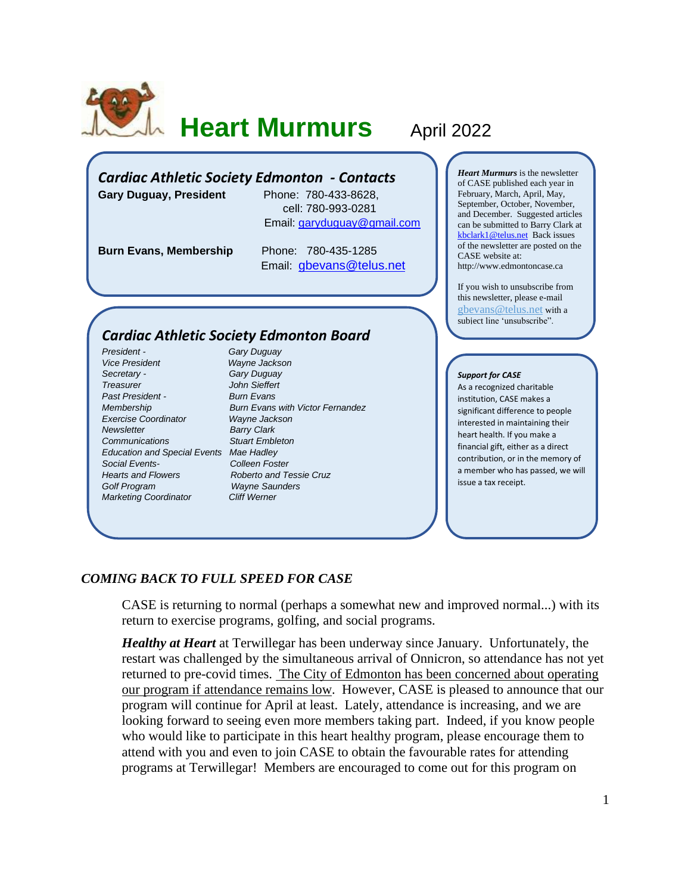

# **Heart Murmurs April 2022**

# *Cardiac Athletic Society Edmonton - Contacts*

**Gary Duguay, President** Phone: 780-433-8628,

 cell: 780-993-0281 Email: [garyduguay@gmail.com](mailto:garyduguay@gmail.com)

**Burn Evans, Membership** Phone: 780-435-1285

Email: [gbevans@telus.net](mailto:gbevans@telus.net)

# *Cardiac Athletic Society Edmonton Board*

*President - Gary Duguay Vice President Wayne Jackson Secretary - Gary Duguay Treasurer John Sieffert Past President - Burn Evans Exercise Coordinator Wayne Jackson Newsletter* Barry Clark *Communications Stuart Embleton Education and Special Events Mae Hadley Social Events- Colleen Foster Hearts and Flowers Roberto and Tessie Cruz Golf Program Wayne Saunders Marketing Coordinator Cliff Werner*

*Membership Burn Evans with Victor Fernandez*

*Heart Murmurs* is the newsletter of CASE published each year in February, March, April, May, September, October, November, and December. Suggested articles can be submitted to Barry Clark at [kbclark1@telus.net](mailto:kbclark1@telus.net) Back issues of the newsletter are posted on the CASE website at: [http://www.edmontoncase.ca](http://www.edmontoncase.ca/)

If you wish to unsubscribe from this newsletter, please e-mail [gbevans@telus.net](mailto:gbevans@telus.net) with a subiect line 'unsubscribe''.

#### *Support for CASE*

As a recognized charitable institution, CASE makes a significant difference to people interested in maintaining their heart health. If you make a financial gift, either as a direct contribution, or in the memory of a member who has passed, we will issue a tax receipt.

# *COMING BACK TO FULL SPEED FOR CASE*

CASE is returning to normal (perhaps a somewhat new and improved normal...) with its return to exercise programs, golfing, and social programs.

*Healthy at Heart* at Terwillegar has been underway since January. Unfortunately, the restart was challenged by the simultaneous arrival of Onnicron, so attendance has not yet returned to pre-covid times. The City of Edmonton has been concerned about operating our program if attendance remains low. However, CASE is pleased to announce that our program will continue for April at least. Lately, attendance is increasing, and we are looking forward to seeing even more members taking part. Indeed, if you know people who would like to participate in this heart healthy program, please encourage them to attend with you and even to join CASE to obtain the favourable rates for attending programs at Terwillegar! Members are encouraged to come out for this program on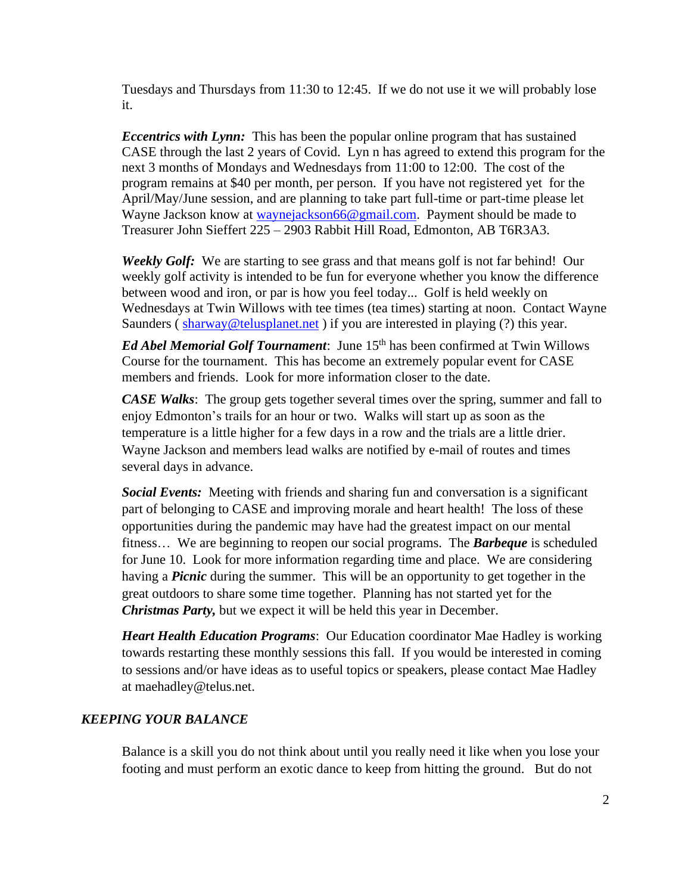Tuesdays and Thursdays from 11:30 to 12:45. If we do not use it we will probably lose it.

*Eccentrics with Lynn:* This has been the popular online program that has sustained CASE through the last 2 years of Covid. Lyn n has agreed to extend this program for the next 3 months of Mondays and Wednesdays from 11:00 to 12:00. The cost of the program remains at \$40 per month, per person. If you have not registered yet for the April/May/June session, and are planning to take part full-time or part-time please let Wayne Jackson know at [waynejackson66@gmail.com.](mailto:waynejackson66@gmail.com) Payment should be made to Treasurer John Sieffert 225 – 2903 Rabbit Hill Road, Edmonton, AB T6R3A3.

*Weekly Golf:* We are starting to see grass and that means golf is not far behind! Our weekly golf activity is intended to be fun for everyone whether you know the difference between wood and iron, or par is how you feel today... Golf is held weekly on Wednesdays at Twin Willows with tee times (tea times) starting at noon. Contact Wayne Saunders ([sharway@telusplanet.net](mailto:sharway@telusplanet.net)) if you are interested in playing (?) this year.

*Ed Abel Memorial Golf Tournament*: June 15<sup>th</sup> has been confirmed at Twin Willows Course for the tournament. This has become an extremely popular event for CASE members and friends. Look for more information closer to the date.

*CASE Walks*: The group gets together several times over the spring, summer and fall to enjoy Edmonton's trails for an hour or two. Walks will start up as soon as the temperature is a little higher for a few days in a row and the trials are a little drier. Wayne Jackson and members lead walks are notified by e-mail of routes and times several days in advance.

*Social Events:* Meeting with friends and sharing fun and conversation is a significant part of belonging to CASE and improving morale and heart health! The loss of these opportunities during the pandemic may have had the greatest impact on our mental fitness… We are beginning to reopen our social programs. The *Barbeque* is scheduled for June 10. Look for more information regarding time and place. We are considering having a *Picnic* during the summer. This will be an opportunity to get together in the great outdoors to share some time together. Planning has not started yet for the *Christmas Party,* but we expect it will be held this year in December.

*Heart Health Education Programs*: Our Education coordinator Mae Hadley is working towards restarting these monthly sessions this fall. If you would be interested in coming to sessions and/or have ideas as to useful topics or speakers, please contact Mae Hadley at [maehadley@telus.net.](mailto:maehadley@telus.net)

# *KEEPING YOUR BALANCE*

Balance is a skill you do not think about until you really need it like when you lose your footing and must perform an exotic dance to keep from hitting the ground. But do not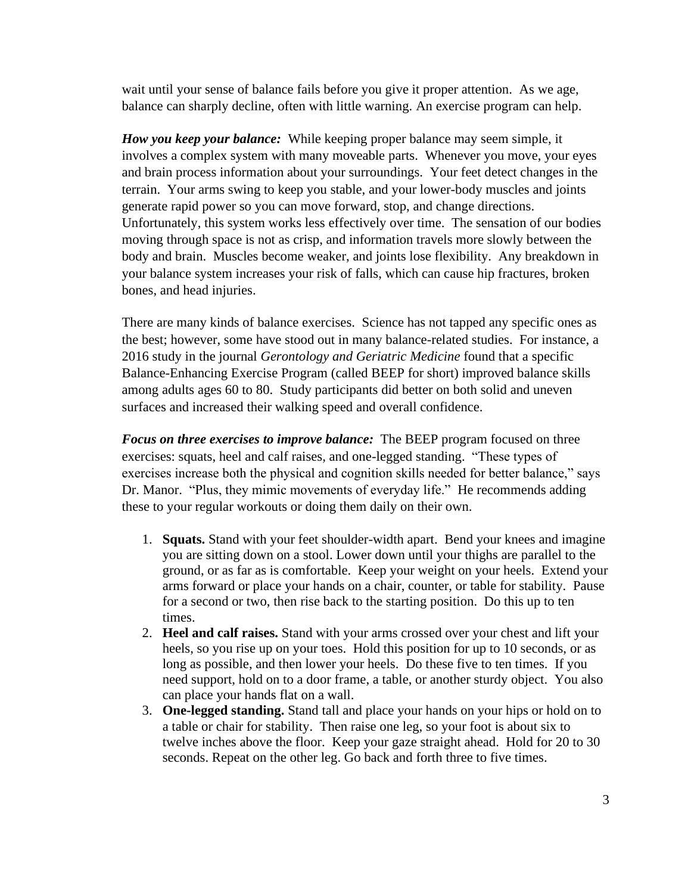wait until your sense of balance fails before you give it proper attention. As we age, balance can sharply decline, often with little warning. An exercise program can help.

*How you keep your balance:*While keeping proper balance may seem simple, it involves a complex system with many moveable parts. Whenever you move, your eyes and brain process information about your surroundings. Your feet detect changes in the terrain. Your arms swing to keep you stable, and your lower-body muscles and joints generate rapid power so you can move forward, stop, and change directions. Unfortunately, this system works less effectively over time. The sensation of our bodies moving through space is not as crisp, and information travels more slowly between the body and brain. Muscles become weaker, and joints lose flexibility. Any breakdown in your balance system increases your risk of falls, which can cause hip fractures, broken bones, and head injuries.

There are many kinds of balance exercises. Science has not tapped any specific ones as the best; however, some have stood out in many balance-related studies. For instance, a 2016 study in the journal *Gerontology and Geriatric Medicine* found that a specific Balance-Enhancing Exercise Program (called BEEP for short) improved balance skills among adults ages 60 to 80. Study participants did better on both solid and uneven surfaces and increased their walking speed and overall confidence.

*Focus on three exercises to improve balance:*The BEEP program focused on three exercises: squats, heel and calf raises, and one-legged standing. "These types of exercises increase both the physical and cognition skills needed for better balance," says Dr. Manor. "Plus, they mimic movements of everyday life." He recommends adding these to your regular workouts or doing them daily on their own.

- 1. **Squats.** Stand with your feet shoulder-width apart. Bend your knees and imagine you are sitting down on a stool. Lower down until your thighs are parallel to the ground, or as far as is comfortable. Keep your weight on your heels. Extend your arms forward or place your hands on a chair, counter, or table for stability. Pause for a second or two, then rise back to the starting position. Do this up to ten times.
- 2. **Heel and calf raises.** Stand with your arms crossed over your chest and lift your heels, so you rise up on your toes. Hold this position for up to 10 seconds, or as long as possible, and then lower your heels. Do these five to ten times. If you need support, hold on to a door frame, a table, or another sturdy object. You also can place your hands flat on a wall.
- 3. **One-legged standing.** Stand tall and place your hands on your hips or hold on to a table or chair for stability. Then raise one leg, so your foot is about six to twelve inches above the floor. Keep your gaze straight ahead. Hold for 20 to 30 seconds. Repeat on the other leg. Go back and forth three to five times.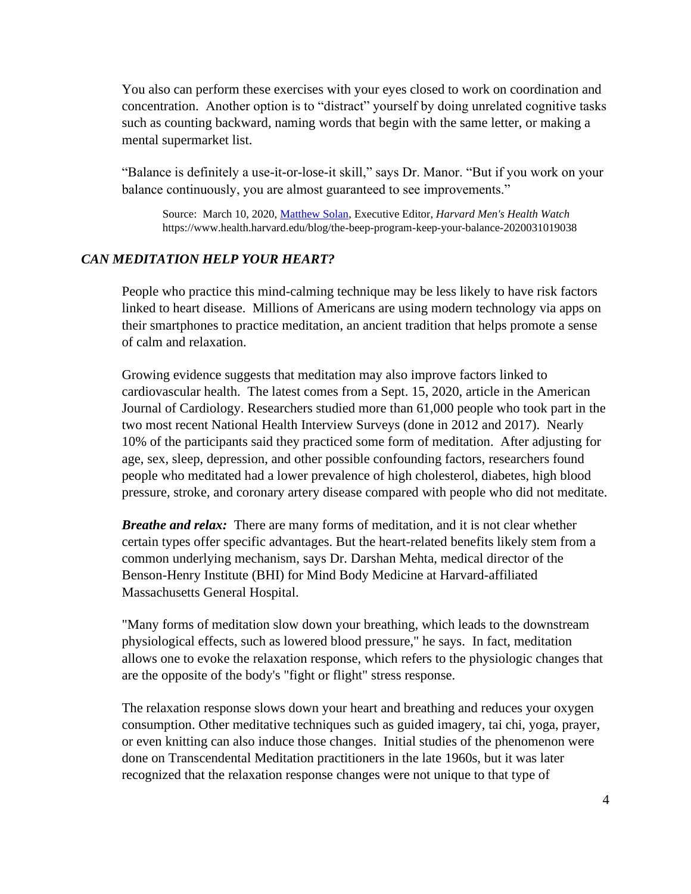You also can perform these exercises with your eyes closed to work on coordination and concentration. Another option is to "distract" yourself by doing unrelated cognitive tasks such as counting backward, naming words that begin with the same letter, or making a mental supermarket list.

"Balance is definitely a use-it-or-lose-it skill," says Dr. Manor. "But if you work on your balance continuously, you are almost guaranteed to see improvements."

Source: March 10, 2020, [Matthew Solan,](https://www.health.harvard.edu/author/matthew-solan) Executive Editor, *Harvard Men's Health Watch* https://www.health.harvard.edu/blog/the-beep-program-keep-your-balance-2020031019038

### *CAN MEDITATION HELP YOUR HEART?*

People who practice this mind-calming technique may be less likely to have risk factors linked to heart disease. Millions of Americans are using modern technology via apps on their smartphones to practice meditation, an ancient tradition that helps promote a sense of calm and relaxation.

Growing evidence suggests that meditation may also improve factors linked to cardiovascular health. The latest comes from a Sept. 15, 2020, article in the American Journal of Cardiology. Researchers studied more than 61,000 people who took part in the two most recent National Health Interview Surveys (done in 2012 and 2017). Nearly 10% of the participants said they practiced some form of meditation. After adjusting for age, sex, sleep, depression, and other possible confounding factors, researchers found people who meditated had a lower prevalence of high cholesterol, diabetes, high blood pressure, stroke, and coronary artery disease compared with people who did not meditate.

*Breathe and relax:* There are many forms of meditation, and it is not clear whether certain types offer specific advantages. But the heart-related benefits likely stem from a common underlying mechanism, says Dr. Darshan Mehta, medical director of the Benson-Henry Institute (BHI) for Mind Body Medicine at Harvard-affiliated Massachusetts General Hospital.

"Many forms of meditation slow down your breathing, which leads to the downstream physiological effects, such as lowered blood pressure," he says. In fact, meditation allows one to evoke the relaxation response, which refers to the physiologic changes that are the opposite of the body's "fight or flight" stress response.

The relaxation response slows down your heart and breathing and reduces your oxygen consumption. Other meditative techniques such as guided imagery, tai chi, yoga, prayer, or even knitting can also induce those changes. Initial studies of the phenomenon were done on Transcendental Meditation practitioners in the late 1960s, but it was later recognized that the relaxation response changes were not unique to that type of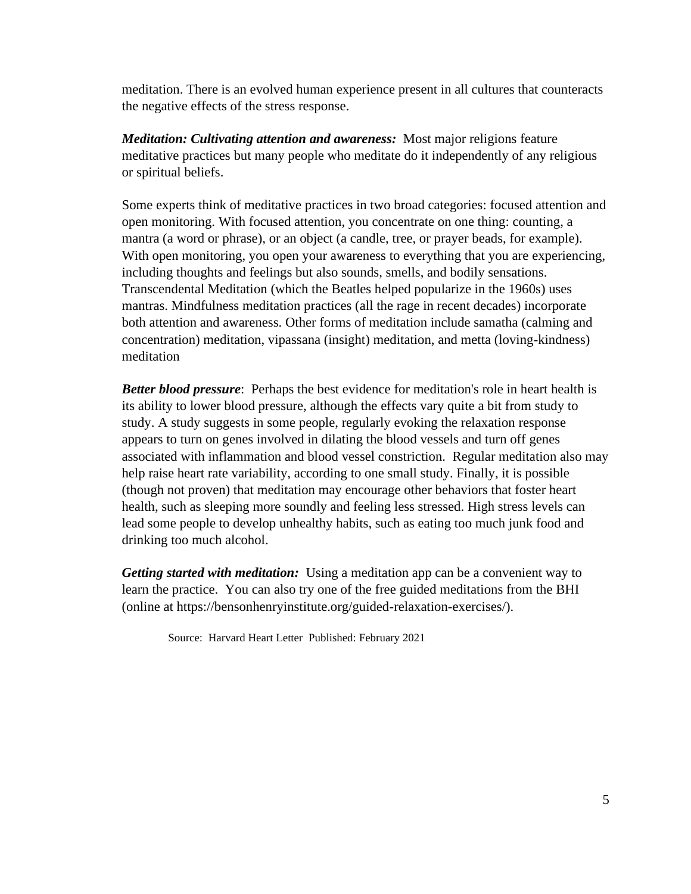meditation. There is an evolved human experience present in all cultures that counteracts the negative effects of the stress response.

*Meditation: Cultivating attention and awareness:* Most major religions feature meditative practices but many people who meditate do it independently of any religious or spiritual beliefs.

Some experts think of meditative practices in two broad categories: focused attention and open monitoring. With focused attention, you concentrate on one thing: counting, a mantra (a word or phrase), or an object (a candle, tree, or prayer beads, for example). With open monitoring, you open your awareness to everything that you are experiencing, including thoughts and feelings but also sounds, smells, and bodily sensations. Transcendental Meditation (which the Beatles helped popularize in the 1960s) uses mantras. Mindfulness meditation practices (all the rage in recent decades) incorporate both attention and awareness. Other forms of meditation include samatha (calming and concentration) meditation, vipassana (insight) meditation, and metta (loving-kindness) meditation

*Better blood pressure*: Perhaps the best evidence for meditation's role in heart health is its ability to lower blood pressure, although the effects vary quite a bit from study to study. A study suggests in some people, regularly evoking the relaxation response appears to turn on genes involved in dilating the blood vessels and turn off genes associated with inflammation and blood vessel constriction. Regular meditation also may help raise heart rate variability, according to one small study. Finally, it is possible (though not proven) that meditation may encourage other behaviors that foster heart health, such as sleeping more soundly and feeling less stressed. High stress levels can lead some people to develop unhealthy habits, such as eating too much junk food and drinking too much alcohol.

*Getting started with meditation:* Using a meditation app can be a convenient way to learn the practice. You can also try one of the free guided meditations from the BHI (online at [https://bensonhenryinstitute.org/guided-relaxation-exercises/\)](https://bensonhenryinstitute.org/guided-relaxation-exercises/).

Source: [Harvard Heart Letter](https://www.health.harvard.edu/newsletters/harvard_heart_letter/2021/february) Published: February 2021